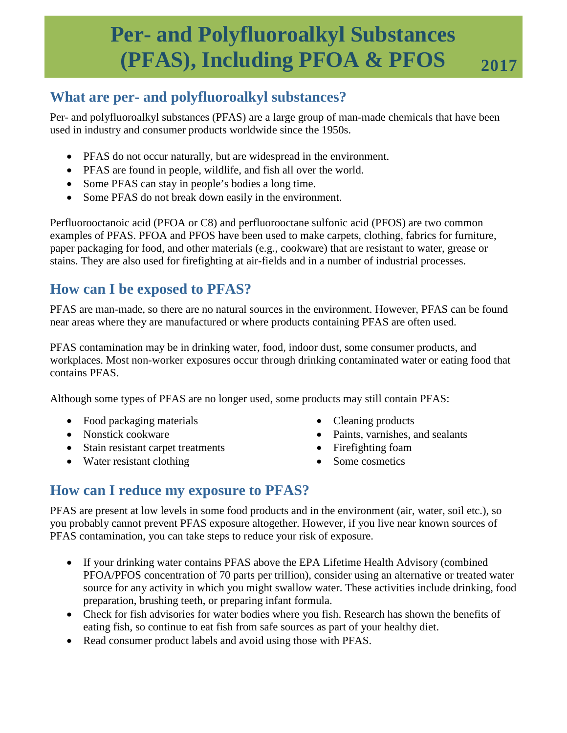# **Per- and Polyfluoroalkyl Substances (PFAS), Including PFOA & PFOS**  $2017$

## **What are per- and polyfluoroalkyl substances?**

Per- and polyfluoroalkyl substances (PFAS) are a large group of man-made chemicals that have been used in industry and consumer products worldwide since the 1950s.

- PFAS do not occur naturally, but are widespread in the environment.
- PFAS are found in people, wildlife, and fish all over the world.
- Some PFAS can stay in people's bodies a long time.
- Some PFAS do not break down easily in the environment.

Perfluorooctanoic acid (PFOA or C8) and perfluorooctane sulfonic acid (PFOS) are two common examples of PFAS. PFOA and PFOS have been used to make carpets, clothing, fabrics for furniture, paper packaging for food, and other materials (e.g., cookware) that are resistant to water, grease or stains. They are also used for firefighting at air-fields and in a number of industrial processes.

# **How can I be exposed to PFAS?**

PFAS are man-made, so there are no natural sources in the environment. However, PFAS can be found near areas where they are manufactured or where products containing PFAS are often used.

PFAS contamination may be in drinking water, food, indoor dust, some consumer products, and workplaces. Most non-worker exposures occur through drinking contaminated water or eating food that contains PFAS.

Although some types of PFAS are no longer used, some products may still contain PFAS:

- Food packaging materials
- Nonstick cookware
- Stain resistant carpet treatments
- Water resistant clothing
- Cleaning products
- Paints, varnishes, and sealants
- Firefighting foam
- Some cosmetics

## **How can I reduce my exposure to PFAS?**

PFAS are present at low levels in some food products and in the environment (air, water, soil etc.), so you probably cannot prevent PFAS exposure altogether. However, if you live near known sources of PFAS contamination, you can take steps to reduce your risk of exposure.

- If your drinking water contains PFAS above the EPA Lifetime Health Advisory (combined PFOA/PFOS concentration of 70 parts per trillion), consider using an alternative or treated water source for any activity in which you might swallow water. These activities include drinking, food preparation, brushing teeth, or preparing infant formula.
- Check for fish advisories for water bodies where you fish. Research has shown the benefits of eating fish, so continue to eat fish from safe sources as part of your healthy diet.
- Read consumer product labels and avoid using those with PFAS.